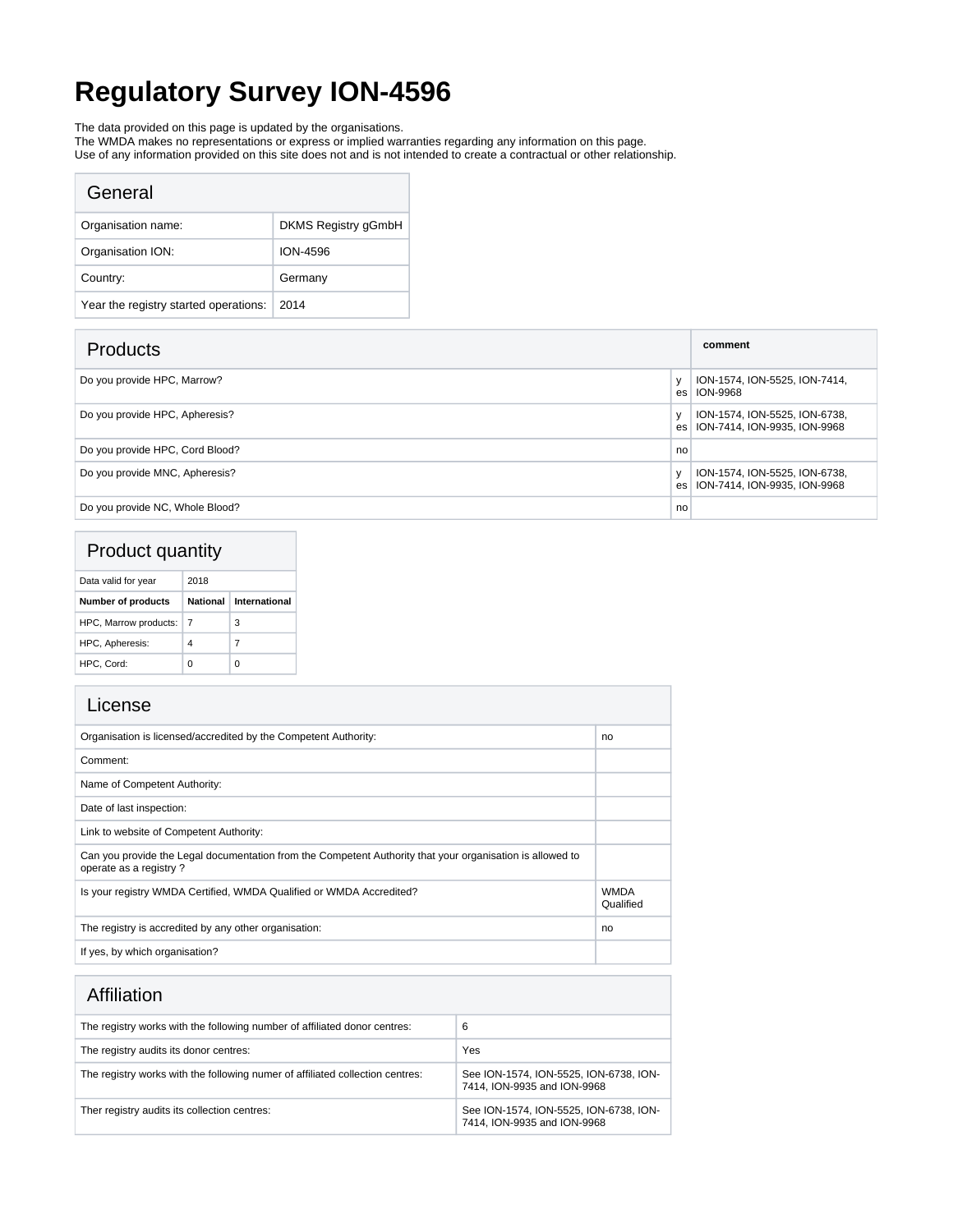# **Regulatory Survey ION-4596**

The data provided on this page is updated by the organisations.

The WMDA makes no representations or express or implied warranties regarding any information on this page.

Use of any information provided on this site does not and is not intended to create a contractual or other relationship.

| General                               |                            |
|---------------------------------------|----------------------------|
| Organisation name:                    | <b>DKMS Registry gGmbH</b> |
| Organisation ION:                     | ION-4596                   |
| Country:                              | Germany                    |
| Year the registry started operations: | 2014                       |

| <b>Products</b>                 |     | comment                                                       |
|---------------------------------|-----|---------------------------------------------------------------|
| Do you provide HPC, Marrow?     | es. | ION-1574, ION-5525, ION-7414,<br>ION-9968                     |
| Do you provide HPC, Apheresis?  | es  | ION-1574, ION-5525, ION-6738,<br>ION-7414, ION-9935, ION-9968 |
| Do you provide HPC, Cord Blood? | no  |                                                               |
| Do you provide MNC, Apheresis?  | es  | ION-1574, ION-5525, ION-6738,<br>ION-7414, ION-9935, ION-9968 |
| Do you provide NC, Whole Blood? | no  |                                                               |

### Product quantity

| Data valid for year       | 2018     |               |
|---------------------------|----------|---------------|
| <b>Number of products</b> | National | International |
| HPC, Marrow products:     |          | 3             |
| HPC, Apheresis:           | 4        | 7             |
| HPC. Cord:                | Ω        | n             |

| Organisation is licensed/accredited by the Competent Authority:                                                                     | no                       |
|-------------------------------------------------------------------------------------------------------------------------------------|--------------------------|
| Comment:                                                                                                                            |                          |
| Name of Competent Authority:                                                                                                        |                          |
| Date of last inspection:                                                                                                            |                          |
| Link to website of Competent Authority:                                                                                             |                          |
| Can you provide the Legal documentation from the Competent Authority that your organisation is allowed to<br>operate as a registry? |                          |
| Is your registry WMDA Certified, WMDA Qualified or WMDA Accredited?                                                                 | <b>WMDA</b><br>Qualified |
| The registry is accredited by any other organisation:                                                                               | no                       |
| If yes, by which organisation?                                                                                                      |                          |

| Affiliation |
|-------------|
|             |
|             |

| , ,,,,,,,,,,,,,,,,                                                            |                                                                       |
|-------------------------------------------------------------------------------|-----------------------------------------------------------------------|
| The registry works with the following number of affiliated donor centres:     | 6                                                                     |
| The registry audits its donor centres:                                        | Yes                                                                   |
| The registry works with the following numer of affiliated collection centres: | See ION-1574, ION-5525, ION-6738, ION-<br>7414, ION-9935 and ION-9968 |
| Ther registry audits its collection centres:                                  | See ION-1574, ION-5525, ION-6738, ION-<br>7414, ION-9935 and ION-9968 |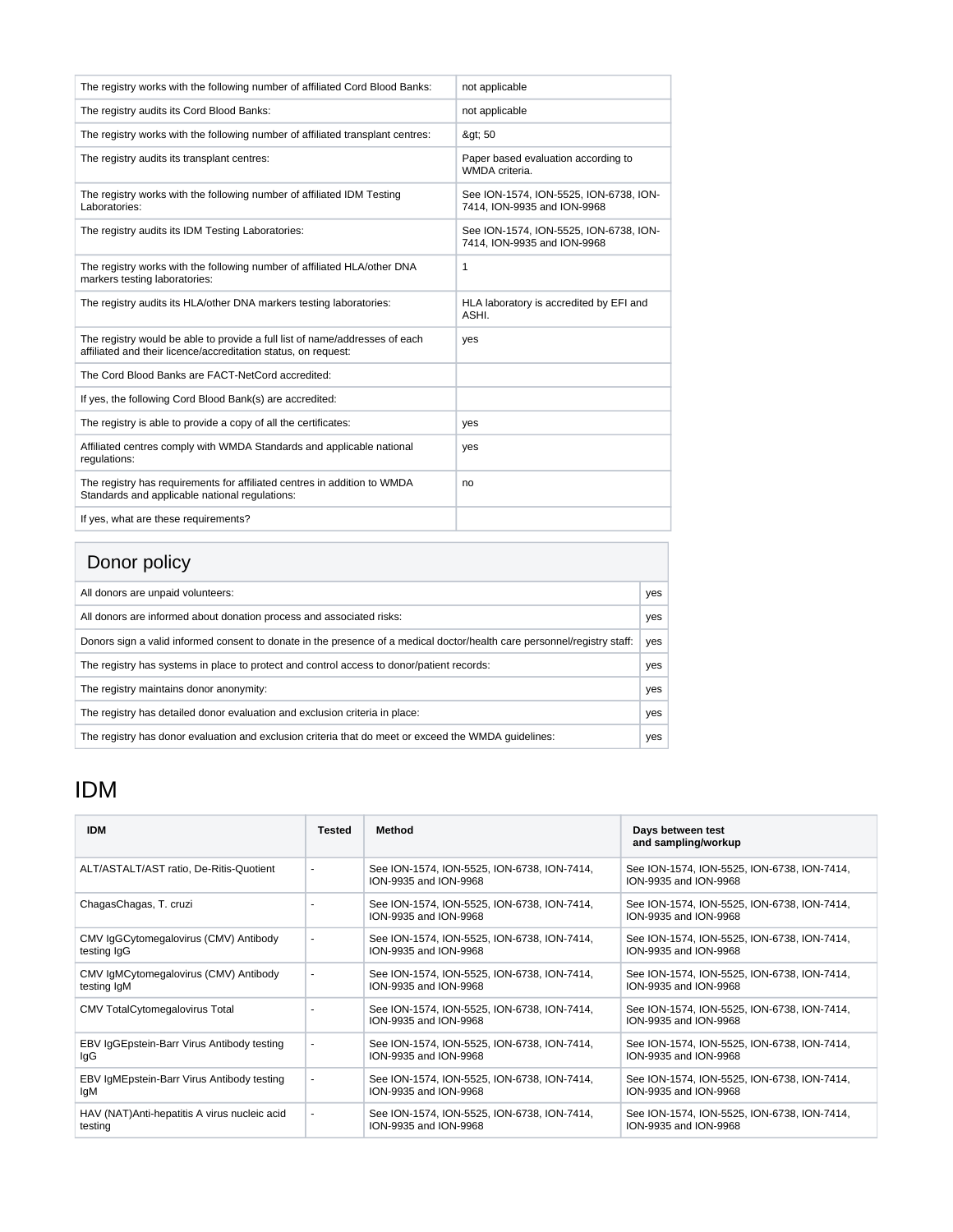| The registry works with the following number of affiliated Cord Blood Banks:                                                                  | not applicable                                                        |
|-----------------------------------------------------------------------------------------------------------------------------------------------|-----------------------------------------------------------------------|
| The registry audits its Cord Blood Banks:                                                                                                     | not applicable                                                        |
| The registry works with the following number of affiliated transplant centres:                                                                | > 50                                                                  |
| The registry audits its transplant centres:                                                                                                   | Paper based evaluation according to<br>WMDA criteria.                 |
| The registry works with the following number of affiliated IDM Testing<br>Laboratories:                                                       | See ION-1574, ION-5525, ION-6738, ION-<br>7414, ION-9935 and ION-9968 |
| The registry audits its IDM Testing Laboratories:                                                                                             | See ION-1574, ION-5525, ION-6738, ION-<br>7414, ION-9935 and ION-9968 |
| The registry works with the following number of affiliated HLA/other DNA<br>markers testing laboratories:                                     | 1                                                                     |
| The registry audits its HLA/other DNA markers testing laboratories:                                                                           | HLA laboratory is accredited by EFI and<br>ASHI.                      |
| The registry would be able to provide a full list of name/addresses of each<br>affiliated and their licence/accreditation status, on request: | yes                                                                   |
| The Cord Blood Banks are FACT-NetCord accredited:                                                                                             |                                                                       |
| If yes, the following Cord Blood Bank(s) are accredited:                                                                                      |                                                                       |
| The registry is able to provide a copy of all the certificates:                                                                               | yes                                                                   |
| Affiliated centres comply with WMDA Standards and applicable national<br>requlations:                                                         | yes                                                                   |
| The registry has requirements for affiliated centres in addition to WMDA<br>Standards and applicable national regulations:                    | no                                                                    |
| If yes, what are these requirements?                                                                                                          |                                                                       |

## Donor policy

| <b>DUTIOL DUILLY</b>                                                                                                     |     |
|--------------------------------------------------------------------------------------------------------------------------|-----|
| All donors are unpaid volunteers:                                                                                        | yes |
| All donors are informed about donation process and associated risks:                                                     | yes |
| Donors sign a valid informed consent to donate in the presence of a medical doctor/health care personnel/registry staff: | yes |
| The registry has systems in place to protect and control access to donor/patient records:                                | yes |
| The registry maintains donor anonymity:                                                                                  | yes |
| The registry has detailed donor evaluation and exclusion criteria in place:                                              | yes |
| The registry has donor evaluation and exclusion criteria that do meet or exceed the WMDA quidelines:                     | yes |

## IDM

| <b>IDM</b>                                    | <b>Tested</b>  | Method                                                               | Days between test<br>and sampling/workup                             |
|-----------------------------------------------|----------------|----------------------------------------------------------------------|----------------------------------------------------------------------|
| ALT/ASTALT/AST ratio, De-Ritis-Quotient       | $\sim$         | See ION-1574, ION-5525, ION-6738, ION-7414,<br>ION-9935 and ION-9968 | See ION-1574, ION-5525, ION-6738, ION-7414,<br>ION-9935 and ION-9968 |
| ChagasChagas, T. cruzi                        |                | See ION-1574, ION-5525, ION-6738, ION-7414,<br>ION-9935 and ION-9968 | See ION-1574, ION-5525, ION-6738, ION-7414,<br>ION-9935 and ION-9968 |
| CMV IgGCytomegalovirus (CMV) Antibody         | $\sim$         | See ION-1574, ION-5525, ION-6738, ION-7414,                          | See ION-1574, ION-5525, ION-6738, ION-7414,                          |
| testing IgG                                   |                | ION-9935 and ION-9968                                                | ION-9935 and ION-9968                                                |
| CMV IgMCytomegalovirus (CMV) Antibody         | $\sim$         | See ION-1574, ION-5525, ION-6738, ION-7414,                          | See ION-1574, ION-5525, ION-6738, ION-7414,                          |
| testing IgM                                   |                | ION-9935 and ION-9968                                                | ION-9935 and ION-9968                                                |
| <b>CMV TotalCytomegalovirus Total</b>         |                | See ION-1574, ION-5525, ION-6738, ION-7414,<br>ION-9935 and ION-9968 | See ION-1574, ION-5525, ION-6738, ION-7414,<br>ION-9935 and ION-9968 |
| EBV IgGEpstein-Barr Virus Antibody testing    | $\blacksquare$ | See ION-1574, ION-5525, ION-6738, ION-7414,                          | See ION-1574, ION-5525, ION-6738, ION-7414,                          |
| lgG                                           |                | ION-9935 and ION-9968                                                | ION-9935 and ION-9968                                                |
| EBV IgMEpstein-Barr Virus Antibody testing    | $\blacksquare$ | See ION-1574, ION-5525, ION-6738, ION-7414,                          | See ION-1574, ION-5525, ION-6738, ION-7414,                          |
| lgM                                           |                | ION-9935 and ION-9968                                                | ION-9935 and ION-9968                                                |
| HAV (NAT) Anti-hepatitis A virus nucleic acid | $\blacksquare$ | See ION-1574, ION-5525, ION-6738, ION-7414,                          | See ION-1574, ION-5525, ION-6738, ION-7414,                          |
| testing                                       |                | ION-9935 and ION-9968                                                | ION-9935 and ION-9968                                                |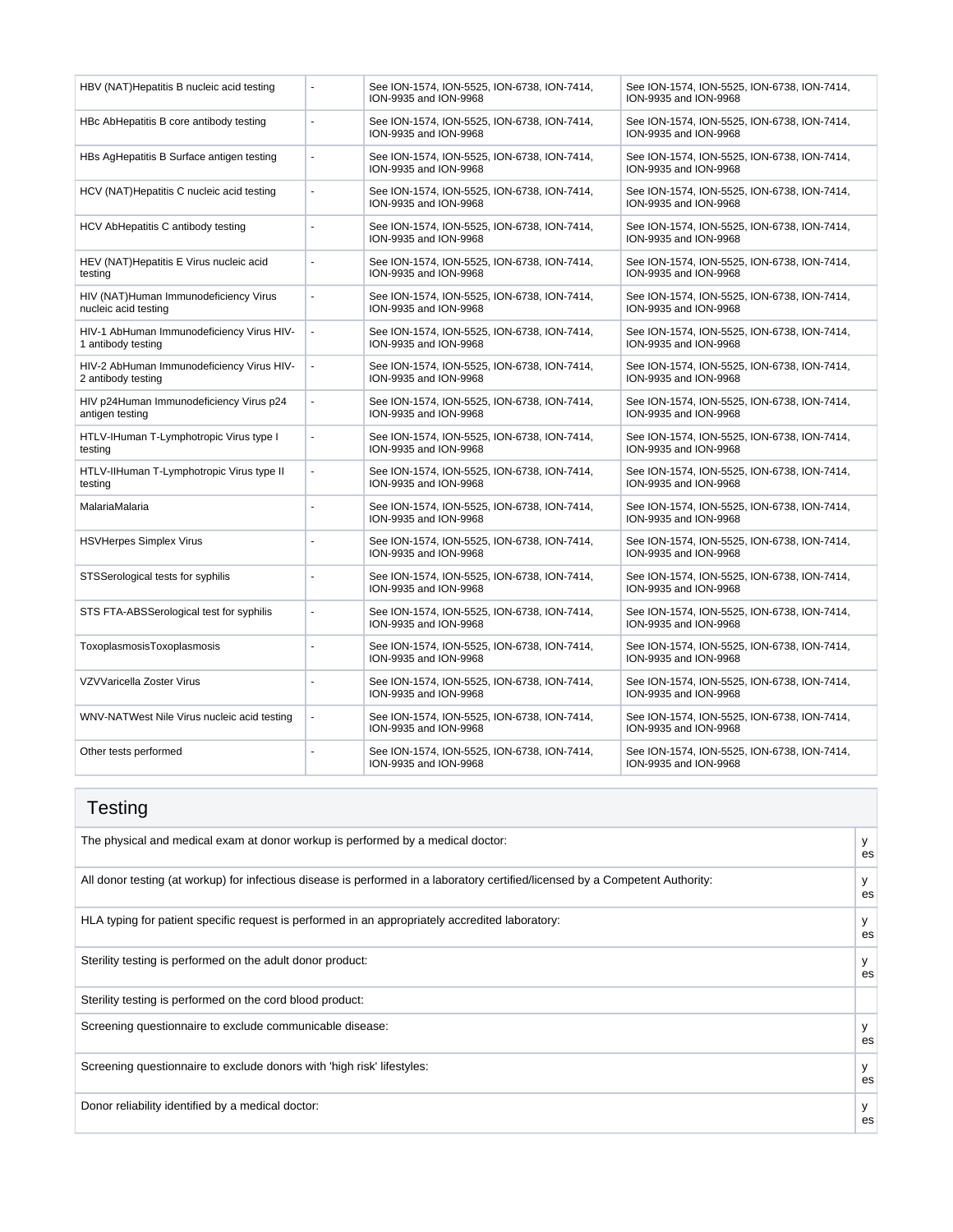| HBV (NAT) Hepatitis B nucleic acid testing                      |                          | See ION-1574, ION-5525, ION-6738, ION-7414,<br>ION-9935 and ION-9968 | See ION-1574, ION-5525, ION-6738, ION-7414,<br>ION-9935 and ION-9968 |
|-----------------------------------------------------------------|--------------------------|----------------------------------------------------------------------|----------------------------------------------------------------------|
| HBc AbHepatitis B core antibody testing                         | ÷,                       | See ION-1574, ION-5525, ION-6738, ION-7414,<br>ION-9935 and ION-9968 | See ION-1574, ION-5525, ION-6738, ION-7414,<br>ION-9935 and ION-9968 |
| HBs AgHepatitis B Surface antigen testing                       | ÷,                       | See ION-1574, ION-5525, ION-6738, ION-7414,<br>ION-9935 and ION-9968 | See ION-1574, ION-5525, ION-6738, ION-7414,<br>ION-9935 and ION-9968 |
| HCV (NAT) Hepatitis C nucleic acid testing                      | ÷,                       | See ION-1574, ION-5525, ION-6738, ION-7414,<br>ION-9935 and ION-9968 | See ION-1574, ION-5525, ION-6738, ION-7414,<br>ION-9935 and ION-9968 |
| HCV AbHepatitis C antibody testing                              | L.                       | See ION-1574, ION-5525, ION-6738, ION-7414,<br>ION-9935 and ION-9968 | See ION-1574, ION-5525, ION-6738, ION-7414,<br>ION-9935 and ION-9968 |
| HEV (NAT) Hepatitis E Virus nucleic acid<br>testing             | ä,                       | See ION-1574, ION-5525, ION-6738, ION-7414,<br>ION-9935 and ION-9968 | See ION-1574, ION-5525, ION-6738, ION-7414,<br>ION-9935 and ION-9968 |
| HIV (NAT)Human Immunodeficiency Virus<br>nucleic acid testing   | J.                       | See ION-1574, ION-5525, ION-6738, ION-7414,<br>ION-9935 and ION-9968 | See ION-1574, ION-5525, ION-6738, ION-7414,<br>ION-9935 and ION-9968 |
| HIV-1 AbHuman Immunodeficiency Virus HIV-<br>1 antibody testing | $\blacksquare$           | See ION-1574, ION-5525, ION-6738, ION-7414,<br>ION-9935 and ION-9968 | See ION-1574, ION-5525, ION-6738, ION-7414,<br>ION-9935 and ION-9968 |
| HIV-2 AbHuman Immunodeficiency Virus HIV-<br>2 antibody testing | $\overline{\phantom{a}}$ | See ION-1574, ION-5525, ION-6738, ION-7414,<br>ION-9935 and ION-9968 | See ION-1574, ION-5525, ION-6738, ION-7414,<br>ION-9935 and ION-9968 |
| HIV p24Human Immunodeficiency Virus p24<br>antigen testing      | ÷,                       | See ION-1574, ION-5525, ION-6738, ION-7414,<br>ION-9935 and ION-9968 | See ION-1574, ION-5525, ION-6738, ION-7414,<br>ION-9935 and ION-9968 |
| HTLV-IHuman T-Lymphotropic Virus type I<br>testing              | ÷,                       | See ION-1574, ION-5525, ION-6738, ION-7414,<br>ION-9935 and ION-9968 | See ION-1574, ION-5525, ION-6738, ION-7414,<br>ION-9935 and ION-9968 |
| HTLV-IIHuman T-Lymphotropic Virus type II<br>testing            | ÷,                       | See ION-1574, ION-5525, ION-6738, ION-7414,<br>ION-9935 and ION-9968 | See ION-1574, ION-5525, ION-6738, ION-7414,<br>ION-9935 and ION-9968 |
| MalariaMalaria                                                  | L.                       | See ION-1574, ION-5525, ION-6738, ION-7414,<br>ION-9935 and ION-9968 | See ION-1574, ION-5525, ION-6738, ION-7414,<br>ION-9935 and ION-9968 |
| <b>HSVHerpes Simplex Virus</b>                                  | L.                       | See ION-1574, ION-5525, ION-6738, ION-7414,<br>ION-9935 and ION-9968 | See ION-1574, ION-5525, ION-6738, ION-7414,<br>ION-9935 and ION-9968 |
| STSSerological tests for syphilis                               | ÷.                       | See ION-1574, ION-5525, ION-6738, ION-7414,<br>ION-9935 and ION-9968 | See ION-1574, ION-5525, ION-6738, ION-7414,<br>ION-9935 and ION-9968 |
| STS FTA-ABSSerological test for syphilis                        | ä,                       | See ION-1574, ION-5525, ION-6738, ION-7414,<br>ION-9935 and ION-9968 | See ION-1574, ION-5525, ION-6738, ION-7414,<br>ION-9935 and ION-9968 |
| ToxoplasmosisToxoplasmosis                                      | ÷.                       | See ION-1574, ION-5525, ION-6738, ION-7414,<br>ION-9935 and ION-9968 | See ION-1574, ION-5525, ION-6738, ION-7414,<br>ION-9935 and ION-9968 |
| VZVVaricella Zoster Virus                                       |                          | See ION-1574, ION-5525, ION-6738, ION-7414,<br>ION-9935 and ION-9968 | See ION-1574, ION-5525, ION-6738, ION-7414,<br>ION-9935 and ION-9968 |
| WNV-NATWest Nile Virus nucleic acid testing                     | ÷,                       | See ION-1574, ION-5525, ION-6738, ION-7414,<br>ION-9935 and ION-9968 | See ION-1574, ION-5525, ION-6738, ION-7414,<br>ION-9935 and ION-9968 |
| Other tests performed                                           | ÷,                       | See ION-1574, ION-5525, ION-6738, ION-7414,<br>ION-9935 and ION-9968 | See ION-1574, ION-5525, ION-6738, ION-7414,<br>ION-9935 and ION-9968 |

#### **Testing** The physical and medical exam at donor workup is performed by a medical doctor: y with the physical and medical exam at donor workup is performed by a medical doctor: es All donor testing (at workup) for infectious disease is performed in a laboratory certified/licensed by a Competent Authority: y es HLA typing for patient specific request is performed in an appropriately accredited laboratory: y y es Sterility testing is performed on the adult donor product: y very set of the state of the state of the state of the state of the state of the state of the state of the state of the state of the state of the state of the st es Sterility testing is performed on the cord blood product: Screening questionnaire to exclude communicable disease: y es Screening questionnaire to exclude donors with 'high risk' lifestyles: y es Donor reliability identified by a medical doctor: es